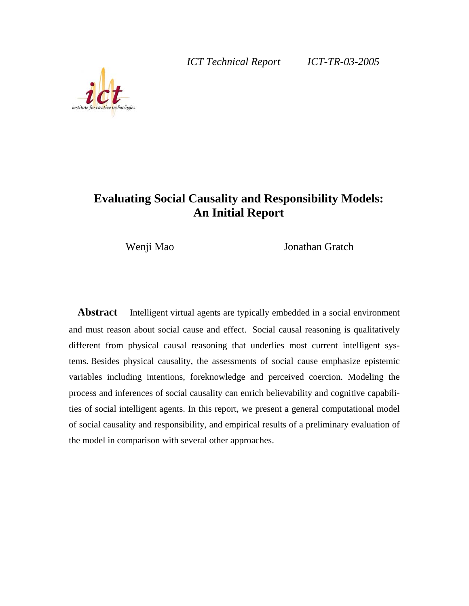*ICT Technical Report ICT-TR-03-2005* 



# **Evaluating Social Causality and Responsibility Models: An Initial Report**

Wenji Mao Jonathan Gratch

**Abstract** Intelligent virtual agents are typically embedded in a social environment and must reason about social cause and effect. Social causal reasoning is qualitatively different from physical causal reasoning that underlies most current intelligent systems. Besides physical causality, the assessments of social cause emphasize epistemic variables including intentions, foreknowledge and perceived coercion. Modeling the process and inferences of social causality can enrich believability and cognitive capabilities of social intelligent agents. In this report, we present a general computational model of social causality and responsibility, and empirical results of a preliminary evaluation of the model in comparison with several other approaches.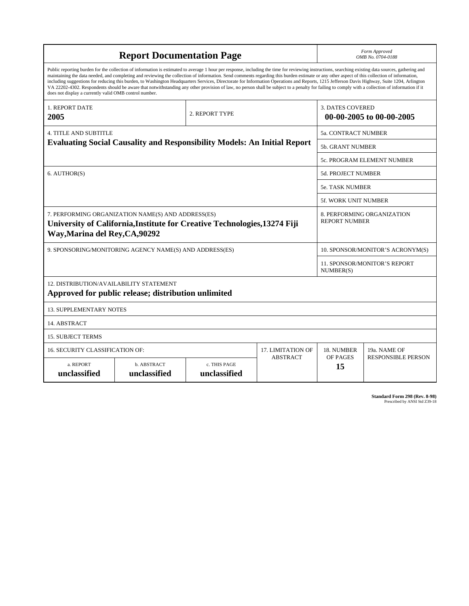| <b>Report Documentation Page</b>                                                                                                                                                                                                                                                                                                                                                                                                                                                                                                                                                                                                                                                                                                                                                                                                                                   |                                                         |                                                 |  |                           | Form Approved<br>OMB No. 0704-0188                  |  |  |
|--------------------------------------------------------------------------------------------------------------------------------------------------------------------------------------------------------------------------------------------------------------------------------------------------------------------------------------------------------------------------------------------------------------------------------------------------------------------------------------------------------------------------------------------------------------------------------------------------------------------------------------------------------------------------------------------------------------------------------------------------------------------------------------------------------------------------------------------------------------------|---------------------------------------------------------|-------------------------------------------------|--|---------------------------|-----------------------------------------------------|--|--|
| Public reporting burden for the collection of information is estimated to average 1 hour per response, including the time for reviewing instructions, searching existing data sources, gathering and<br>maintaining the data needed, and completing and reviewing the collection of information. Send comments regarding this burden estimate or any other aspect of this collection of information,<br>including suggestions for reducing this burden, to Washington Headquarters Services, Directorate for Information Operations and Reports, 1215 Jefferson Davis Highway, Suite 1204, Arlington<br>VA 22202-4302. Respondents should be aware that notwithstanding any other provision of law, no person shall be subject to a penalty for failing to comply with a collection of information if it<br>does not display a currently valid OMB control number. |                                                         |                                                 |  |                           |                                                     |  |  |
| <b>1. REPORT DATE</b><br>2005                                                                                                                                                                                                                                                                                                                                                                                                                                                                                                                                                                                                                                                                                                                                                                                                                                      |                                                         | 2. REPORT TYPE                                  |  |                           | <b>3. DATES COVERED</b><br>00-00-2005 to 00-00-2005 |  |  |
| <b>4. TITLE AND SUBTITLE</b>                                                                                                                                                                                                                                                                                                                                                                                                                                                                                                                                                                                                                                                                                                                                                                                                                                       |                                                         |                                                 |  | 5a. CONTRACT NUMBER       |                                                     |  |  |
| <b>Evaluating Social Causality and Responsibility Models: An Initial Report</b>                                                                                                                                                                                                                                                                                                                                                                                                                                                                                                                                                                                                                                                                                                                                                                                    |                                                         |                                                 |  |                           | <b>5b. GRANT NUMBER</b>                             |  |  |
|                                                                                                                                                                                                                                                                                                                                                                                                                                                                                                                                                                                                                                                                                                                                                                                                                                                                    |                                                         | 5c. PROGRAM ELEMENT NUMBER                      |  |                           |                                                     |  |  |
| 6. AUTHOR(S)                                                                                                                                                                                                                                                                                                                                                                                                                                                                                                                                                                                                                                                                                                                                                                                                                                                       |                                                         |                                                 |  | <b>5d. PROJECT NUMBER</b> |                                                     |  |  |
|                                                                                                                                                                                                                                                                                                                                                                                                                                                                                                                                                                                                                                                                                                                                                                                                                                                                    |                                                         |                                                 |  |                           | <b>5e. TASK NUMBER</b>                              |  |  |
|                                                                                                                                                                                                                                                                                                                                                                                                                                                                                                                                                                                                                                                                                                                                                                                                                                                                    |                                                         |                                                 |  |                           | <b>5f. WORK UNIT NUMBER</b>                         |  |  |
| 7. PERFORMING ORGANIZATION NAME(S) AND ADDRESS(ES)<br>8. PERFORMING ORGANIZATION<br><b>REPORT NUMBER</b><br>University of California, Institute for Creative Technologies, 13274 Fiji<br>Way, Marina del Rey, CA, 90292                                                                                                                                                                                                                                                                                                                                                                                                                                                                                                                                                                                                                                            |                                                         |                                                 |  |                           |                                                     |  |  |
|                                                                                                                                                                                                                                                                                                                                                                                                                                                                                                                                                                                                                                                                                                                                                                                                                                                                    | 9. SPONSORING/MONITORING AGENCY NAME(S) AND ADDRESS(ES) | 10. SPONSOR/MONITOR'S ACRONYM(S)                |  |                           |                                                     |  |  |
|                                                                                                                                                                                                                                                                                                                                                                                                                                                                                                                                                                                                                                                                                                                                                                                                                                                                    |                                                         |                                                 |  |                           | 11. SPONSOR/MONITOR'S REPORT<br>NUMBER(S)           |  |  |
| 12. DISTRIBUTION/AVAILABILITY STATEMENT<br>Approved for public release; distribution unlimited                                                                                                                                                                                                                                                                                                                                                                                                                                                                                                                                                                                                                                                                                                                                                                     |                                                         |                                                 |  |                           |                                                     |  |  |
| <b>13. SUPPLEMENTARY NOTES</b>                                                                                                                                                                                                                                                                                                                                                                                                                                                                                                                                                                                                                                                                                                                                                                                                                                     |                                                         |                                                 |  |                           |                                                     |  |  |
| 14. ABSTRACT                                                                                                                                                                                                                                                                                                                                                                                                                                                                                                                                                                                                                                                                                                                                                                                                                                                       |                                                         |                                                 |  |                           |                                                     |  |  |
| <b>15. SUBJECT TERMS</b>                                                                                                                                                                                                                                                                                                                                                                                                                                                                                                                                                                                                                                                                                                                                                                                                                                           |                                                         |                                                 |  |                           |                                                     |  |  |
| 16. SECURITY CLASSIFICATION OF:<br>17. LIMITATION OF                                                                                                                                                                                                                                                                                                                                                                                                                                                                                                                                                                                                                                                                                                                                                                                                               |                                                         |                                                 |  |                           | 19a. NAME OF                                        |  |  |
| a. REPORT<br>unclassified                                                                                                                                                                                                                                                                                                                                                                                                                                                                                                                                                                                                                                                                                                                                                                                                                                          | b. ABSTRACT<br>unclassified                             | <b>ABSTRACT</b><br>c. THIS PAGE<br>unclassified |  | OF PAGES<br>15            | <b>RESPONSIBLE PERSON</b>                           |  |  |

**Standard Form 298 (Rev. 8-98)**<br>Prescribed by ANSI Std Z39-18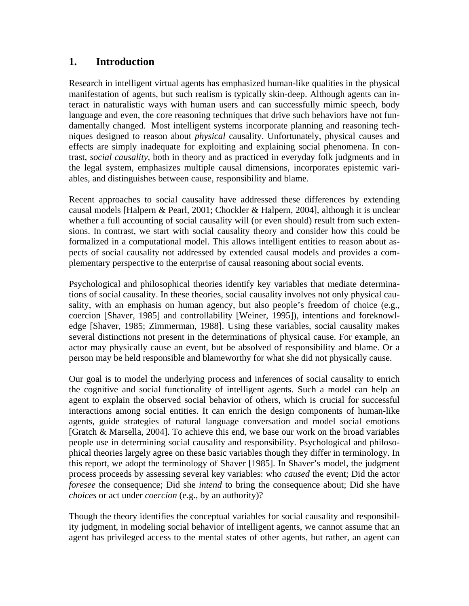## **1. Introduction**

Research in intelligent virtual agents has emphasized human-like qualities in the physical manifestation of agents, but such realism is typically skin-deep. Although agents can interact in naturalistic ways with human users and can successfully mimic speech, body language and even, the core reasoning techniques that drive such behaviors have not fundamentally changed. Most intelligent systems incorporate planning and reasoning techniques designed to reason about *physical* causality. Unfortunately, physical causes and effects are simply inadequate for exploiting and explaining social phenomena. In contrast, *social causality*, both in theory and as practiced in everyday folk judgments and in the legal system, emphasizes multiple causal dimensions, incorporates epistemic variables, and distinguishes between cause, responsibility and blame.

Recent approaches to social causality have addressed these differences by extending causal models [Halpern & Pearl, 2001; Chockler & Halpern, 2004], although it is unclear whether a full accounting of social causality will (or even should) result from such extensions. In contrast, we start with social causality theory and consider how this could be formalized in a computational model. This allows intelligent entities to reason about aspects of social causality not addressed by extended causal models and provides a complementary perspective to the enterprise of causal reasoning about social events.

Psychological and philosophical theories identify key variables that mediate determinations of social causality. In these theories, social causality involves not only physical causality, with an emphasis on human agency, but also people's freedom of choice (e.g., coercion [Shaver, 1985] and controllability [Weiner, 1995]), intentions and foreknowledge [Shaver, 1985; Zimmerman, 1988]. Using these variables, social causality makes several distinctions not present in the determinations of physical cause. For example, an actor may physically cause an event, but be absolved of responsibility and blame. Or a person may be held responsible and blameworthy for what she did not physically cause.

Our goal is to model the underlying process and inferences of social causality to enrich the cognitive and social functionality of intelligent agents. Such a model can help an agent to explain the observed social behavior of others, which is crucial for successful interactions among social entities. It can enrich the design components of human-like agents, guide strategies of natural language conversation and model social emotions [Gratch & Marsella, 2004]. To achieve this end, we base our work on the broad variables people use in determining social causality and responsibility. Psychological and philosophical theories largely agree on these basic variables though they differ in terminology. In this report, we adopt the terminology of Shaver [1985]. In Shaver's model, the judgment process proceeds by assessing several key variables: who *caused* the event; Did the actor *foresee* the consequence; Did she *intend* to bring the consequence about; Did she have *choices* or act under *coercion* (e.g., by an authority)?

Though the theory identifies the conceptual variables for social causality and responsibility judgment, in modeling social behavior of intelligent agents, we cannot assume that an agent has privileged access to the mental states of other agents, but rather, an agent can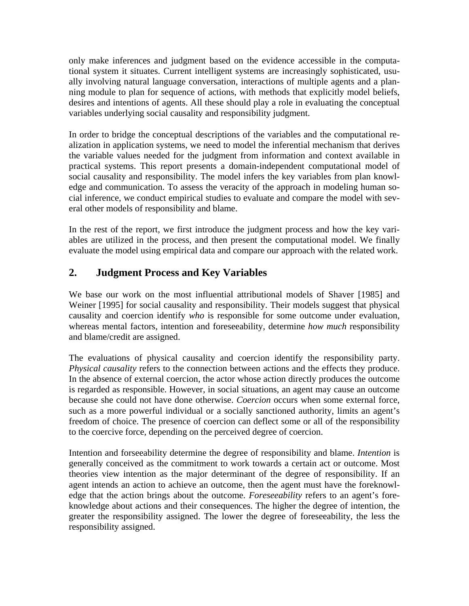only make inferences and judgment based on the evidence accessible in the computational system it situates. Current intelligent systems are increasingly sophisticated, usually involving natural language conversation, interactions of multiple agents and a planning module to plan for sequence of actions, with methods that explicitly model beliefs, desires and intentions of agents. All these should play a role in evaluating the conceptual variables underlying social causality and responsibility judgment.

In order to bridge the conceptual descriptions of the variables and the computational realization in application systems, we need to model the inferential mechanism that derives the variable values needed for the judgment from information and context available in practical systems. This report presents a domain-independent computational model of social causality and responsibility. The model infers the key variables from plan knowledge and communication. To assess the veracity of the approach in modeling human social inference, we conduct empirical studies to evaluate and compare the model with several other models of responsibility and blame.

In the rest of the report, we first introduce the judgment process and how the key variables are utilized in the process, and then present the computational model. We finally evaluate the model using empirical data and compare our approach with the related work.

# **2. Judgment Process and Key Variables**

We base our work on the most influential attributional models of Shaver [1985] and Weiner [1995] for social causality and responsibility. Their models suggest that physical causality and coercion identify *who* is responsible for some outcome under evaluation, whereas mental factors, intention and foreseeability, determine *how much* responsibility and blame/credit are assigned.

The evaluations of physical causality and coercion identify the responsibility party. *Physical causality* refers to the connection between actions and the effects they produce. In the absence of external coercion, the actor whose action directly produces the outcome is regarded as responsible. However, in social situations, an agent may cause an outcome because she could not have done otherwise. *Coercion* occurs when some external force, such as a more powerful individual or a socially sanctioned authority, limits an agent's freedom of choice. The presence of coercion can deflect some or all of the responsibility to the coercive force, depending on the perceived degree of coercion.

Intention and forseeability determine the degree of responsibility and blame. *Intention* is generally conceived as the commitment to work towards a certain act or outcome. Most theories view intention as the major determinant of the degree of responsibility. If an agent intends an action to achieve an outcome, then the agent must have the foreknowledge that the action brings about the outcome. *Foreseeability* refers to an agent's foreknowledge about actions and their consequences. The higher the degree of intention, the greater the responsibility assigned. The lower the degree of foreseeability, the less the responsibility assigned.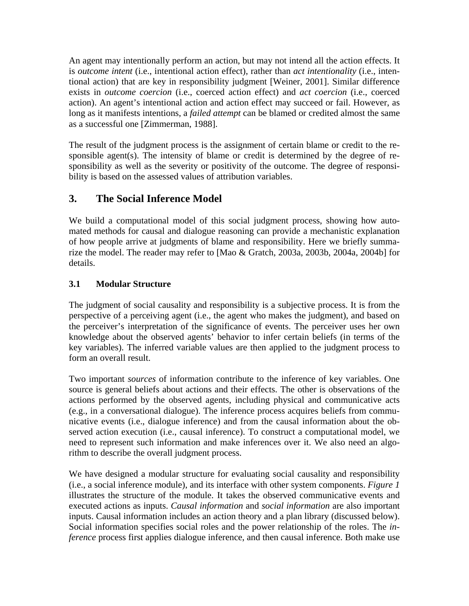An agent may intentionally perform an action, but may not intend all the action effects. It is *outcome intent* (i.e., intentional action effect), rather than *act intentionality* (i.e., intentional action) that are key in responsibility judgment [Weiner, 2001]. Similar difference exists in *outcome coercion* (i.e., coerced action effect) and *act coercion* (i.e., coerced action). An agent's intentional action and action effect may succeed or fail. However, as long as it manifests intentions, a *failed attempt* can be blamed or credited almost the same as a successful one [Zimmerman, 1988].

The result of the judgment process is the assignment of certain blame or credit to the responsible agent(s). The intensity of blame or credit is determined by the degree of responsibility as well as the severity or positivity of the outcome. The degree of responsibility is based on the assessed values of attribution variables.

# **3. The Social Inference Model**

We build a computational model of this social judgment process, showing how automated methods for causal and dialogue reasoning can provide a mechanistic explanation of how people arrive at judgments of blame and responsibility. Here we briefly summarize the model. The reader may refer to [Mao & Gratch, 2003a, 2003b, 2004a, 2004b] for details.

# **3.1 Modular Structure**

The judgment of social causality and responsibility is a subjective process. It is from the perspective of a perceiving agent (i.e., the agent who makes the judgment), and based on the perceiver's interpretation of the significance of events. The perceiver uses her own knowledge about the observed agents' behavior to infer certain beliefs (in terms of the key variables). The inferred variable values are then applied to the judgment process to form an overall result.

Two important *sources* of information contribute to the inference of key variables. One source is general beliefs about actions and their effects. The other is observations of the actions performed by the observed agents, including physical and communicative acts (e.g., in a conversational dialogue). The inference process acquires beliefs from communicative events (i.e., dialogue inference) and from the causal information about the observed action execution (i.e., causal inference). To construct a computational model, we need to represent such information and make inferences over it. We also need an algorithm to describe the overall judgment process.

We have designed a modular structure for evaluating social causality and responsibility (i.e., a social inference module), and its interface with other system components. *Figure 1* illustrates the structure of the module. It takes the observed communicative events and executed actions as inputs. *Causal information* and *social information* are also important inputs. Causal information includes an action theory and a plan library (discussed below). Social information specifies social roles and the power relationship of the roles. The *inference* process first applies dialogue inference, and then causal inference. Both make use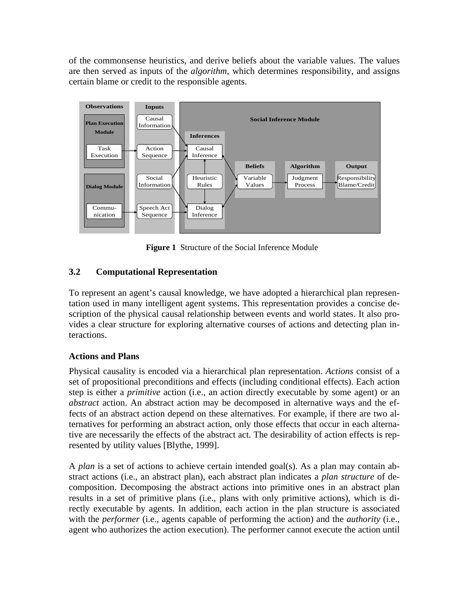of the commonsense heuristics, and derive beliefs about the variable values. The values are then served as inputs of the *algorithm*, which determines responsibility, and assigns certain blame or credit to the responsible agents.



**Figure 1** Structure of the Social Inference Module

## **3.2 Computational Representation**

To represent an agent's causal knowledge, we have adopted a hierarchical plan representation used in many intelligent agent systems. This representation provides a concise description of the physical causal relationship between events and world states. It also provides a clear structure for exploring alternative courses of actions and detecting plan interactions.

## **Actions and Plans**

Physical causality is encoded via a hierarchical plan representation. *Actions* consist of a set of propositional preconditions and effects (including conditional effects). Each action step is either a *primitive* action (i.e., an action directly executable by some agent) or an *abstract* action. An abstract action may be decomposed in alternative ways and the effects of an abstract action depend on these alternatives. For example, if there are two alternatives for performing an abstract action, only those effects that occur in each alternative are necessarily the effects of the abstract act. The desirability of action effects is represented by utility values [Blythe, 1999].

A *plan* is a set of actions to achieve certain intended goal(s). As a plan may contain abstract actions (i.e., an abstract plan), each abstract plan indicates a *plan structure* of decomposition. Decomposing the abstract actions into primitive ones in an abstract plan results in a set of primitive plans (i.e., plans with only primitive actions), which is directly executable by agents. In addition, each action in the plan structure is associated with the *performer* (i.e., agents capable of performing the action) and the *authority* (i.e., agent who authorizes the action execution). The performer cannot execute the action until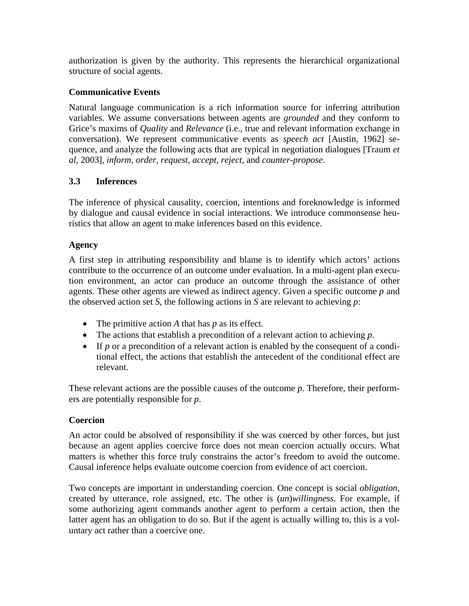authorization is given by the authority. This represents the hierarchical organizational structure of social agents.

#### **Communicative Events**

Natural language communication is a rich information source for inferring attribution variables. We assume conversations between agents are *grounded* and they conform to Grice's maxims of *Quality* and *Relevance* (i.e., true and relevant information exchange in conversation). We represent communicative events as *speech act* [Austin, 1962] sequence, and analyze the following acts that are typical in negotiation dialogues [Traum *et al*, 2003], *inform*, *order*, *request*, *accept*, *reject*, and *counter-propose*.

### **3.3 Inferences**

The inference of physical causality, coercion, intentions and foreknowledge is informed by dialogue and causal evidence in social interactions. We introduce commonsense heuristics that allow an agent to make inferences based on this evidence.

### **Agency**

A first step in attributing responsibility and blame is to identify which actors' actions contribute to the occurrence of an outcome under evaluation. In a multi-agent plan execution environment, an actor can produce an outcome through the assistance of other agents. These other agents are viewed as indirect agency. Given a specific outcome *p* and the observed action set *S*, the following actions in *S* are relevant to achieving *p*:

- The primitive action *A* that has *p* as its effect.
- The actions that establish a precondition of a relevant action to achieving *p*.
- If *p* or a precondition of a relevant action is enabled by the consequent of a conditional effect, the actions that establish the antecedent of the conditional effect are relevant.

These relevant actions are the possible causes of the outcome *p*. Therefore, their performers are potentially responsible for *p*.

#### **Coercion**

An actor could be absolved of responsibility if she was coerced by other forces, but just because an agent applies coercive force does not mean coercion actually occurs. What matters is whether this force truly constrains the actor's freedom to avoid the outcome. Causal inference helps evaluate outcome coercion from evidence of act coercion.

Two concepts are important in understanding coercion. One concept is social *obligation*, created by utterance, role assigned, etc. The other is (*un*)*willingness*. For example, if some authorizing agent commands another agent to perform a certain action, then the latter agent has an obligation to do so. But if the agent is actually willing to, this is a voluntary act rather than a coercive one.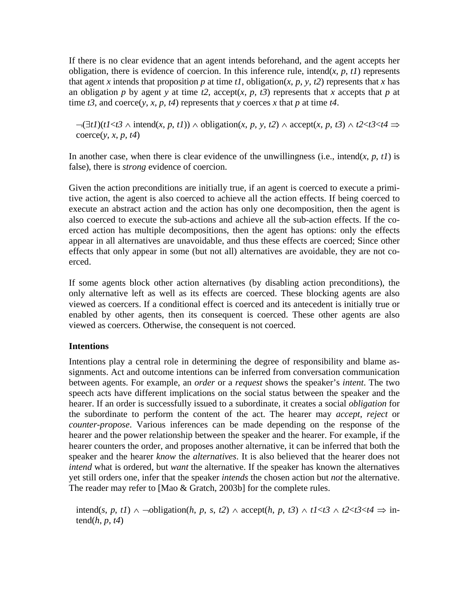If there is no clear evidence that an agent intends beforehand, and the agent accepts her obligation, there is evidence of coercion. In this inference rule, intend $(x, p, t)$  represents that agent *x* intends that proposition *p* at time *t1*, obligation(*x*, *p*, *y*, *t2*) represents that *x* has an obligation *p* by agent *y* at time  $t2$ , accept(*x*, *p*,  $t3$ ) represents that *x* accepts that *p* at time  $t3$ , and coerce(*y*, *x*, *p*,  $t4$ ) represents that *y* coerces *x* that *p* at time  $t4$ .

 $\neg(\exists t I)(tI \leq t3 \land \text{intend}(x, p, tI)) \land \text{obligation}(x, p, y, t2) \land \text{accept}(x, p, t3) \land t2 \leq t3 \leq t4 \Rightarrow$  $cocrec(y, x, p, t4)$ 

In another case, when there is clear evidence of the unwillingness (i.e., intend(*x*, *p*, *t1*) is false), there is *strong* evidence of coercion.

Given the action preconditions are initially true, if an agent is coerced to execute a primitive action, the agent is also coerced to achieve all the action effects. If being coerced to execute an abstract action and the action has only one decomposition, then the agent is also coerced to execute the sub-actions and achieve all the sub-action effects. If the coerced action has multiple decompositions, then the agent has options: only the effects appear in all alternatives are unavoidable, and thus these effects are coerced; Since other effects that only appear in some (but not all) alternatives are avoidable, they are not coerced.

If some agents block other action alternatives (by disabling action preconditions), the only alternative left as well as its effects are coerced. These blocking agents are also viewed as coercers. If a conditional effect is coerced and its antecedent is initially true or enabled by other agents, then its consequent is coerced. These other agents are also viewed as coercers. Otherwise, the consequent is not coerced.

#### **Intentions**

Intentions play a central role in determining the degree of responsibility and blame assignments. Act and outcome intentions can be inferred from conversation communication between agents. For example, an *order* or a *request* shows the speaker's *intent*. The two speech acts have different implications on the social status between the speaker and the hearer. If an order is successfully issued to a subordinate, it creates a social *obligation* for the subordinate to perform the content of the act. The hearer may *accept*, *reject* or *counter-propose*. Various inferences can be made depending on the response of the hearer and the power relationship between the speaker and the hearer. For example, if the hearer counters the order, and proposes another alternative, it can be inferred that both the speaker and the hearer *know* the *alternatives*. It is also believed that the hearer does not *intend* what is ordered, but *want* the alternative. If the speaker has known the alternatives yet still orders one, infer that the speaker *intends* the chosen action but *not* the alternative. The reader may refer to [Mao & Gratch, 2003b] for the complete rules.

intend(*s*, *p*, *t1*) ∧ ¬obligation(*h*, *p*, *s*, *t2*) ∧ accept(*h*, *p*, *t3*) ∧ *t1*<*t3* ∧ *t2*<*t3*<*t4* ⇒ intend $(h, p, t4)$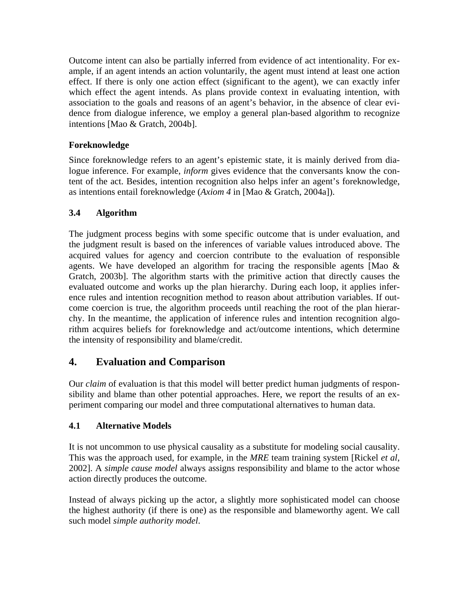Outcome intent can also be partially inferred from evidence of act intentionality. For example, if an agent intends an action voluntarily, the agent must intend at least one action effect. If there is only one action effect (significant to the agent), we can exactly infer which effect the agent intends. As plans provide context in evaluating intention, with association to the goals and reasons of an agent's behavior, in the absence of clear evidence from dialogue inference, we employ a general plan-based algorithm to recognize intentions [Mao & Gratch, 2004b].

## **Foreknowledge**

Since foreknowledge refers to an agent's epistemic state, it is mainly derived from dialogue inference. For example, *inform* gives evidence that the conversants know the content of the act. Besides, intention recognition also helps infer an agent's foreknowledge, as intentions entail foreknowledge (*Axiom 4* in [Mao & Gratch, 2004a]).

## **3.4 Algorithm**

The judgment process begins with some specific outcome that is under evaluation, and the judgment result is based on the inferences of variable values introduced above. The acquired values for agency and coercion contribute to the evaluation of responsible agents. We have developed an algorithm for tracing the responsible agents [Mao  $\&$ Gratch, 2003b]. The algorithm starts with the primitive action that directly causes the evaluated outcome and works up the plan hierarchy. During each loop, it applies inference rules and intention recognition method to reason about attribution variables. If outcome coercion is true, the algorithm proceeds until reaching the root of the plan hierarchy. In the meantime, the application of inference rules and intention recognition algorithm acquires beliefs for foreknowledge and act/outcome intentions, which determine the intensity of responsibility and blame/credit.

## **4. Evaluation and Comparison**

Our *claim* of evaluation is that this model will better predict human judgments of responsibility and blame than other potential approaches. Here, we report the results of an experiment comparing our model and three computational alternatives to human data.

### **4.1 Alternative Models**

It is not uncommon to use physical causality as a substitute for modeling social causality. This was the approach used, for example, in the *MRE* team training system [Rickel *et al*, 2002]. A *simple cause model* always assigns responsibility and blame to the actor whose action directly produces the outcome.

Instead of always picking up the actor, a slightly more sophisticated model can choose the highest authority (if there is one) as the responsible and blameworthy agent. We call such model *simple authority model*.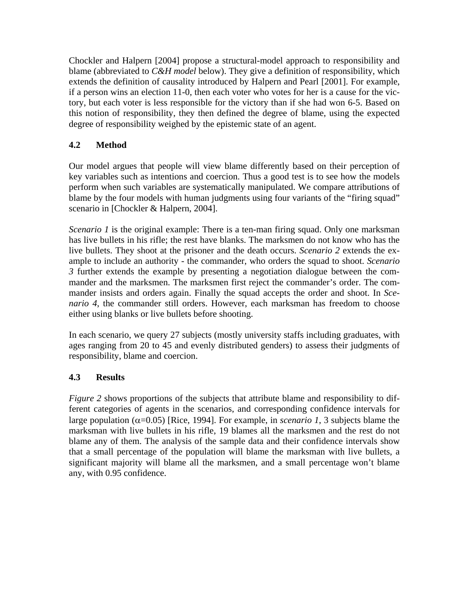Chockler and Halpern [2004] propose a structural-model approach to responsibility and blame (abbreviated to *C&H model* below). They give a definition of responsibility, which extends the definition of causality introduced by Halpern and Pearl [2001]. For example, if a person wins an election 11-0, then each voter who votes for her is a cause for the victory, but each voter is less responsible for the victory than if she had won 6-5. Based on this notion of responsibility, they then defined the degree of blame, using the expected degree of responsibility weighed by the epistemic state of an agent.

## **4.2 Method**

Our model argues that people will view blame differently based on their perception of key variables such as intentions and coercion. Thus a good test is to see how the models perform when such variables are systematically manipulated. We compare attributions of blame by the four models with human judgments using four variants of the "firing squad" scenario in [Chockler & Halpern, 2004].

*Scenario 1* is the original example: There is a ten-man firing squad. Only one marksman has live bullets in his rifle; the rest have blanks. The marksmen do not know who has the live bullets. They shoot at the prisoner and the death occurs. *Scenario 2* extends the example to include an authority - the commander, who orders the squad to shoot. *Scenario 3* further extends the example by presenting a negotiation dialogue between the commander and the marksmen. The marksmen first reject the commander's order. The commander insists and orders again. Finally the squad accepts the order and shoot. In *Scenario 4*, the commander still orders. However, each marksman has freedom to choose either using blanks or live bullets before shooting.

In each scenario, we query 27 subjects (mostly university staffs including graduates, with ages ranging from 20 to 45 and evenly distributed genders) to assess their judgments of responsibility, blame and coercion.

## **4.3 Results**

*Figure 2* shows proportions of the subjects that attribute blame and responsibility to different categories of agents in the scenarios, and corresponding confidence intervals for large population (α=0.05) [Rice, 1994]. For example, in *scenario 1*, 3 subjects blame the marksman with live bullets in his rifle, 19 blames all the marksmen and the rest do not blame any of them. The analysis of the sample data and their confidence intervals show that a small percentage of the population will blame the marksman with live bullets, a significant majority will blame all the marksmen, and a small percentage won't blame any, with 0.95 confidence.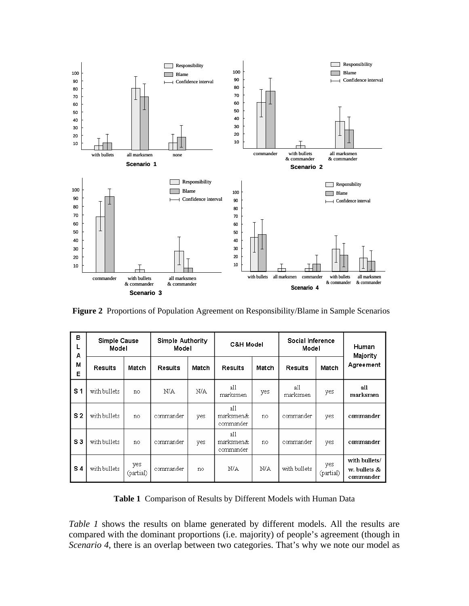

 **Figure 2** Proportions of Population Agreement on Responsibility/Blame in Sample Scenarios

| в<br>⊾<br>А    | <b>Simple Cause</b><br>Model |                  | Simple Authority<br>Model |       | C&H Model                     |       | Social Inference<br>Model |                  | Human<br>Majority                          |
|----------------|------------------------------|------------------|---------------------------|-------|-------------------------------|-------|---------------------------|------------------|--------------------------------------------|
| м<br>E         | <b>Results</b>               | Match            | <b>Results</b>            | Match | <b>Results</b>                | Match | <b>Results</b>            | Match            | Agreement                                  |
| S <sub>1</sub> | with bullets                 | no               | N/A                       | N/A   | all<br>marksmen               | yes   | all<br>marksmen           | yes              | all<br>marksmen                            |
| S <sub>2</sub> | with bullets                 | no               | commander                 | yes   | all<br>marksmen&<br>commander | no    | commander                 | yes              | commander                                  |
| S <sub>3</sub> | with bullets                 | no               | commander                 | yes   | al1<br>marksmen&<br>commander | no    | commander                 | yes              | commander                                  |
| S <sub>4</sub> | with bullets                 | yes<br>(partial) | commander                 | no    | N/A                           | N/A   | with bullets              | yes<br>(partial) | with bullets/<br>w. bullets &<br>commander |

**Table 1** Comparison of Results by Different Models with Human Data

*Table 1* shows the results on blame generated by different models. All the results are compared with the dominant proportions (i.e. majority) of people's agreement (though in *Scenario 4*, there is an overlap between two categories. That's why we note our model as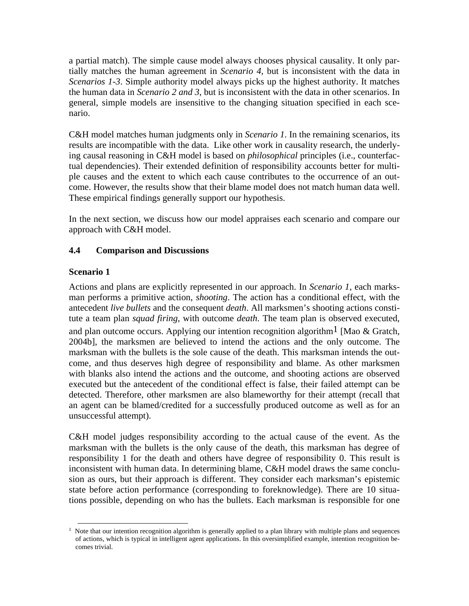a partial match). The simple cause model always chooses physical causality. It only partially matches the human agreement in *Scenario 4*, but is inconsistent with the data in *Scenarios 1-3*. Simple authority model always picks up the highest authority. It matches the human data in *Scenario 2 and 3*, but is inconsistent with the data in other scenarios. In general, simple models are insensitive to the changing situation specified in each scenario.

C&H model matches human judgments only in *Scenario 1*. In the remaining scenarios, its results are incompatible with the data. Like other work in causality research, the underlying causal reasoning in C&H model is based on *philosophical* principles (i.e., counterfactual dependencies). Their extended definition of responsibility accounts better for multiple causes and the extent to which each cause contributes to the occurrence of an outcome. However, the results show that their blame model does not match human data well. These empirical findings generally support our hypothesis.

In the next section, we discuss how our model appraises each scenario and compare our approach with C&H model.

#### **4.4 Comparison and Discussions**

#### **Scenario 1**

Actions and plans are explicitly represented in our approach. In *Scenario 1*, each marksman performs a primitive action, *shooting*. The action has a conditional effect, with the antecedent *live bullets* and the consequent *death*. All marksmen's shooting actions constitute a team plan *squad firing*, with outcome *death*. The team plan is observed executed, and plan outcome occurs. Applying our intention recognition algorithm<sup>1</sup> [Mao & Gratch, 2004b], the marksmen are believed to intend the actions and the only outcome. The marksman with the bullets is the sole cause of the death. This marksman intends the outcome, and thus deserves high degree of responsibility and blame. As other marksmen with blanks also intend the actions and the outcome, and shooting actions are observed executed but the antecedent of the conditional effect is false, their failed attempt can be detected. Therefore, other marksmen are also blameworthy for their attempt (recall that an agent can be blamed/credited for a successfully produced outcome as well as for an unsuccessful attempt).

C&H model judges responsibility according to the actual cause of the event. As the marksman with the bullets is the only cause of the death, this marksman has degree of responsibility 1 for the death and others have degree of responsibility 0. This result is inconsistent with human data. In determining blame, C&H model draws the same conclusion as ours, but their approach is different. They consider each marksman's epistemic state before action performance (corresponding to foreknowledge). There are 10 situations possible, depending on who has the bullets. Each marksman is responsible for one

 $<sup>1</sup>$  Note that our intention recognition algorithm is generally applied to a plan library with multiple plans and sequences</sup> of actions, which is typical in intelligent agent applications. In this oversimplified example, intention recognition becomes trivial.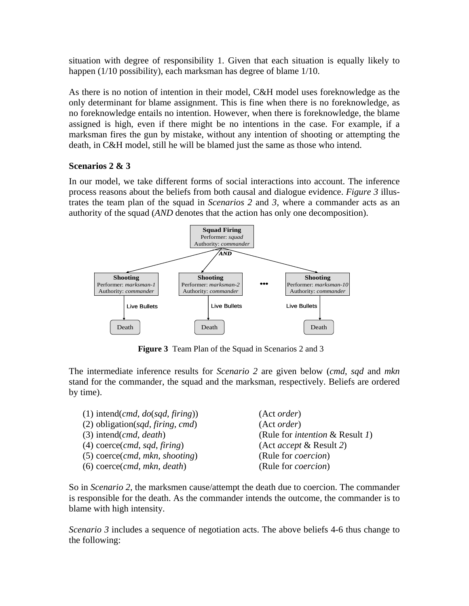situation with degree of responsibility 1. Given that each situation is equally likely to happen (1/10 possibility), each marksman has degree of blame 1/10.

As there is no notion of intention in their model, C&H model uses foreknowledge as the only determinant for blame assignment. This is fine when there is no foreknowledge, as no foreknowledge entails no intention. However, when there is foreknowledge, the blame assigned is high, even if there might be no intentions in the case. For example, if a marksman fires the gun by mistake, without any intention of shooting or attempting the death, in C&H model, still he will be blamed just the same as those who intend.

#### **Scenarios 2 & 3**

In our model, we take different forms of social interactions into account. The inference process reasons about the beliefs from both causal and dialogue evidence. *Figure 3* illustrates the team plan of the squad in *Scenarios 2* and *3*, where a commander acts as an authority of the squad (*AND* denotes that the action has only one decomposition).



**Figure 3** Team Plan of the Squad in Scenarios 2 and 3

The intermediate inference results for *Scenario 2* are given below (*cmd*, *sqd* and *mkn* stand for the commander, the squad and the marksman, respectively. Beliefs are ordered by time).

| $(1)$ intend( <i>cmd</i> , <i>do</i> ( <i>sqd</i> , <i>firing</i> )) | (Act <i>order</i> )                        |
|----------------------------------------------------------------------|--------------------------------------------|
| $(2)$ obligation(sqd, firing, cmd)                                   | (Act order)                                |
| $(3)$ intend( <i>cmd</i> , <i>death</i> )                            | (Rule for <i>intention &amp; Result 1)</i> |
| $(4)$ coerce( <i>cmd</i> , <i>sqd</i> , <i>firing</i> )              | (Act <i>accept</i> & Result 2)             |
| $(5)$ coerce( <i>cmd</i> , <i>mkn</i> , <i>shooting</i> )            | (Rule for <i>coercion</i> )                |
| $(6)$ coerce( <i>cmd</i> , <i>mkn</i> , <i>death</i> )               | (Rule for <i>coercion</i> )                |
|                                                                      |                                            |

So in *Scenario 2*, the marksmen cause/attempt the death due to coercion. The commander is responsible for the death. As the commander intends the outcome, the commander is to blame with high intensity.

*Scenario 3* includes a sequence of negotiation acts. The above beliefs 4-6 thus change to the following: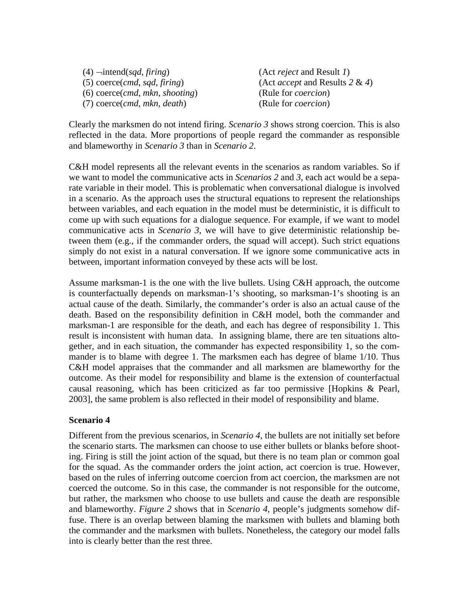| $(4)$ -intend( <i>sqd</i> , <i>firing</i> )               | (Act <i>reject</i> and Resu |
|-----------------------------------------------------------|-----------------------------|
| $(5)$ coerce( <i>cmd</i> , <i>sqd</i> , <i>firing</i> )   | (Act <i>accept</i> and Res  |
| $(6)$ coerce( <i>cmd</i> , <i>mkn</i> , <i>shooting</i> ) | (Rule for <i>coercion</i> ) |
| $(7)$ coerce( <i>cmd</i> , <i>mkn</i> , <i>death</i> )    | (Rule for <i>coercion</i> ) |

(4) ¬intend(*sqd*, *firing*) (Act *reject* and Result *1*) (Act *accept* and Results  $2 \& 4$ ) (6) coerce(*cmd*, *mkn*, *shooting*) (Rule for *coercion*)

Clearly the marksmen do not intend firing. *Scenario 3* shows strong coercion. This is also reflected in the data. More proportions of people regard the commander as responsible and blameworthy in *Scenario 3* than in *Scenario 2*.

C&H model represents all the relevant events in the scenarios as random variables. So if we want to model the communicative acts in *Scenarios 2* and *3*, each act would be a separate variable in their model. This is problematic when conversational dialogue is involved in a scenario. As the approach uses the structural equations to represent the relationships between variables, and each equation in the model must be deterministic, it is difficult to come up with such equations for a dialogue sequence. For example, if we want to model communicative acts in *Scenario 3*, we will have to give deterministic relationship between them (e.g., if the commander orders, the squad will accept). Such strict equations simply do not exist in a natural conversation. If we ignore some communicative acts in between, important information conveyed by these acts will be lost.

Assume marksman-1 is the one with the live bullets. Using C&H approach, the outcome is counterfactually depends on marksman-1's shooting, so marksman-1's shooting is an actual cause of the death. Similarly, the commander's order is also an actual cause of the death. Based on the responsibility definition in C&H model, both the commander and marksman-1 are responsible for the death, and each has degree of responsibility 1. This result is inconsistent with human data. In assigning blame, there are ten situations altogether, and in each situation, the commander has expected responsibility 1, so the commander is to blame with degree 1. The marksmen each has degree of blame 1/10. Thus C&H model appraises that the commander and all marksmen are blameworthy for the outcome. As their model for responsibility and blame is the extension of counterfactual causal reasoning, which has been criticized as far too permissive [Hopkins & Pearl, 2003], the same problem is also reflected in their model of responsibility and blame.

#### **Scenario 4**

Different from the previous scenarios, in *Scenario 4*, the bullets are not initially set before the scenario starts. The marksmen can choose to use either bullets or blanks before shooting. Firing is still the joint action of the squad, but there is no team plan or common goal for the squad. As the commander orders the joint action, act coercion is true. However, based on the rules of inferring outcome coercion from act coercion, the marksmen are not coerced the outcome. So in this case, the commander is not responsible for the outcome, but rather, the marksmen who choose to use bullets and cause the death are responsible and blameworthy. *Figure 2* shows that in *Scenario 4*, people's judgments somehow diffuse. There is an overlap between blaming the marksmen with bullets and blaming both the commander and the marksmen with bullets. Nonetheless, the category our model falls into is clearly better than the rest three.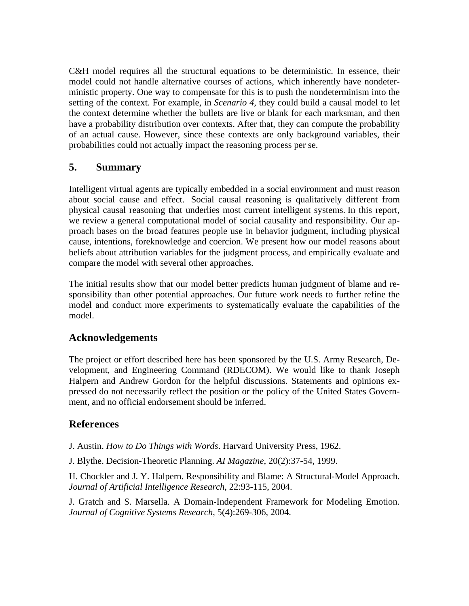C&H model requires all the structural equations to be deterministic. In essence, their model could not handle alternative courses of actions, which inherently have nondeterministic property. One way to compensate for this is to push the nondeterminism into the setting of the context. For example, in *Scenario 4*, they could build a causal model to let the context determine whether the bullets are live or blank for each marksman, and then have a probability distribution over contexts. After that, they can compute the probability of an actual cause. However, since these contexts are only background variables, their probabilities could not actually impact the reasoning process per se.

# **5. Summary**

Intelligent virtual agents are typically embedded in a social environment and must reason about social cause and effect. Social causal reasoning is qualitatively different from physical causal reasoning that underlies most current intelligent systems. In this report, we review a general computational model of social causality and responsibility. Our approach bases on the broad features people use in behavior judgment, including physical cause, intentions, foreknowledge and coercion. We present how our model reasons about beliefs about attribution variables for the judgment process, and empirically evaluate and compare the model with several other approaches.

The initial results show that our model better predicts human judgment of blame and responsibility than other potential approaches. Our future work needs to further refine the model and conduct more experiments to systematically evaluate the capabilities of the model.

# **Acknowledgements**

The project or effort described here has been sponsored by the U.S. Army Research, Development, and Engineering Command (RDECOM). We would like to thank Joseph Halpern and Andrew Gordon for the helpful discussions. Statements and opinions expressed do not necessarily reflect the position or the policy of the United States Government, and no official endorsement should be inferred.

# **References**

J. Austin. *How to Do Things with Words*. Harvard University Press, 1962.

J. Blythe. Decision-Theoretic Planning. *AI Magazine*, 20(2):37-54, 1999.

H. Chockler and J. Y. Halpern. Responsibility and Blame: A Structural-Model Approach. *Journal of Artificial Intelligence Research*, 22:93-115, 2004.

J. Gratch and S. Marsella. A Domain-Independent Framework for Modeling Emotion. *Journal of Cognitive Systems Research*, 5(4):269-306, 2004.